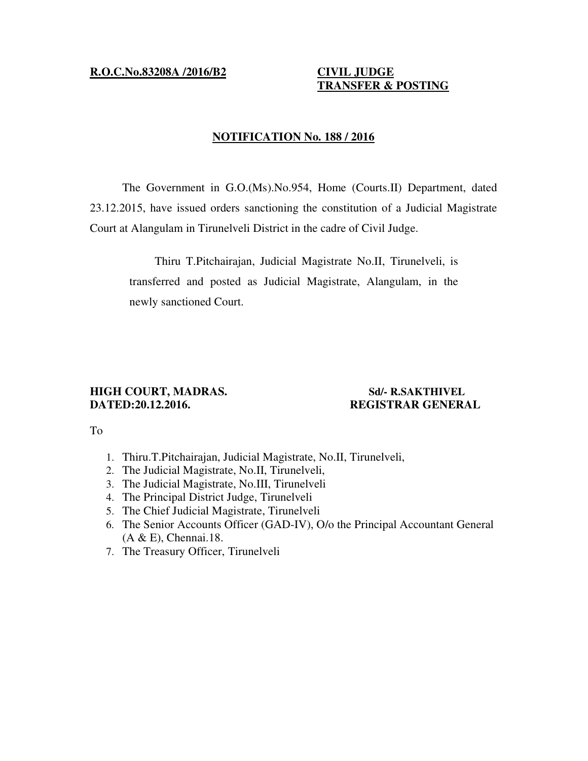## **R.O.C.No.83208A /2016/B2 CIVIL JUDGE**

# **TRANSFER & POSTING**

# **NOTIFICATION No. 188 / 2016**

The Government in G.O.(Ms).No.954, Home (Courts.II) Department, dated 23.12.2015, have issued orders sanctioning the constitution of a Judicial Magistrate Court at Alangulam in Tirunelveli District in the cadre of Civil Judge.

Thiru T.Pitchairajan, Judicial Magistrate No.II, Tirunelveli, is transferred and posted as Judicial Magistrate, Alangulam, in the newly sanctioned Court.

# **HIGH COURT, MADRAS. Sd/- R.SAKTHIVEL DATED:20.12.2016. REGISTRAR GENERAL**

### To

- 1. Thiru.T.Pitchairajan, Judicial Magistrate, No.II, Tirunelveli,
- 2. The Judicial Magistrate, No.II, Tirunelveli,
- 3. The Judicial Magistrate, No.III, Tirunelveli
- 4. The Principal District Judge, Tirunelveli
- 5. The Chief Judicial Magistrate, Tirunelveli
- 6. The Senior Accounts Officer (GAD-IV), O/o the Principal Accountant General (A & E), Chennai.18.
- 7. The Treasury Officer, Tirunelveli